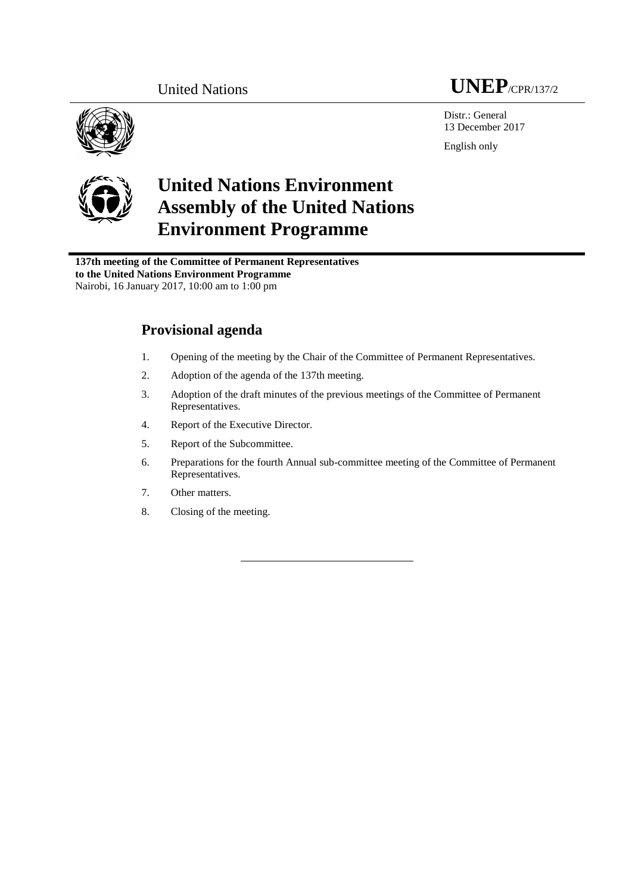

Distr.: General 13 December 2017 English only



# **United Nations Environment Assembly of the United Nations Environment Programme**

**137th meeting of the Committee of Permanent Representatives to the United Nations Environment Programme** Nairobi, 16 January 2017, 10:00 am to 1:00 pm

## **Provisional agenda**

- 1. Opening of the meeting by the Chair of the Committee of Permanent Representatives.
- 2. Adoption of the agenda of the 137th meeting.
- 3. Adoption of the draft minutes of the previous meetings of the Committee of Permanent Representatives.
- 4. Report of the Executive Director.
- 5. Report of the Subcommittee.
- 6. Preparations for the fourth Annual sub-committee meeting of the Committee of Permanent Representatives.
- 7. Other matters.
- 8. Closing of the meeting.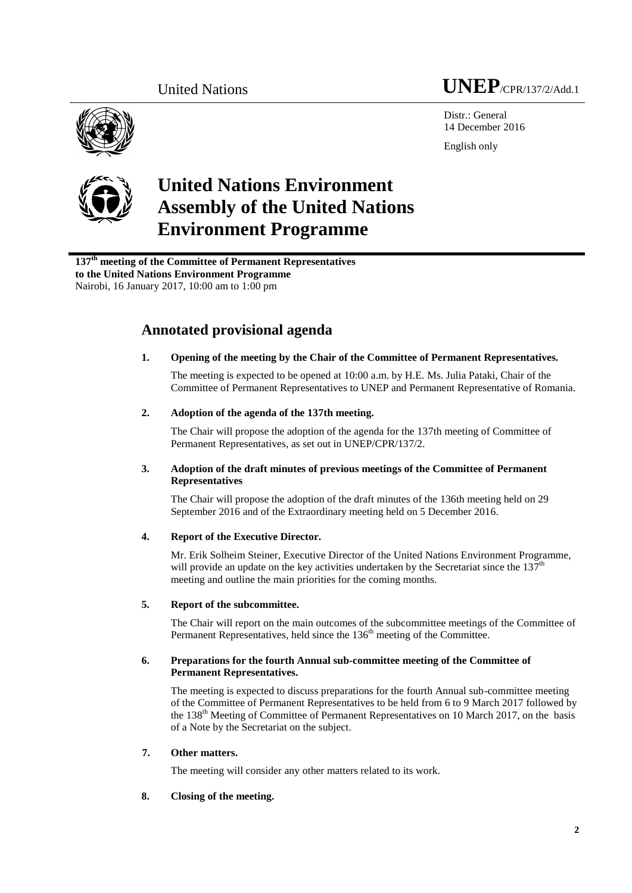

Distr · General 14 December 2016 English only





# **United Nations Environment Assembly of the United Nations Environment Programme**

**137 th meeting of the Committee of Permanent Representatives to the United Nations Environment Programme** Nairobi, 16 January 2017, 10:00 am to 1:00 pm

## **Annotated provisional agenda**

### **1. Opening of the meeting by the Chair of the Committee of Permanent Representatives.**

The meeting is expected to be opened at 10:00 a.m. by H.E. Ms. Julia Pataki, Chair of the Committee of Permanent Representatives to UNEP and Permanent Representative of Romania.

#### **2. Adoption of the agenda of the 137th meeting.**

The Chair will propose the adoption of the agenda for the 137th meeting of Committee of Permanent Representatives, as set out in UNEP/CPR/137/2.

#### **3. Adoption of the draft minutes of previous meetings of the Committee of Permanent Representatives**

The Chair will propose the adoption of the draft minutes of the 136th meeting held on 29 September 2016 and of the Extraordinary meeting held on 5 December 2016.

### **4. Report of the Executive Director.**

Mr. Erik Solheim Steiner, Executive Director of the United Nations Environment Programme, will provide an update on the key activities undertaken by the Secretariat since the  $137<sup>th</sup>$ meeting and outline the main priorities for the coming months.

#### **5. Report of the subcommittee.**

The Chair will report on the main outcomes of the subcommittee meetings of the Committee of Permanent Representatives, held since the 136<sup>th</sup> meeting of the Committee.

#### **6. Preparations for the fourth Annual sub-committee meeting of the Committee of Permanent Representatives.**

The meeting is expected to discuss preparations for the fourth Annual sub-committee meeting of the Committee of Permanent Representatives to be held from 6 to 9 March 2017 followed by the 138<sup>th</sup> Meeting of Committee of Permanent Representatives on 10 March 2017, on the basis of a Note by the Secretariat on the subject.

#### **7. Other matters.**

The meeting will consider any other matters related to its work.

#### **8. Closing of the meeting.**